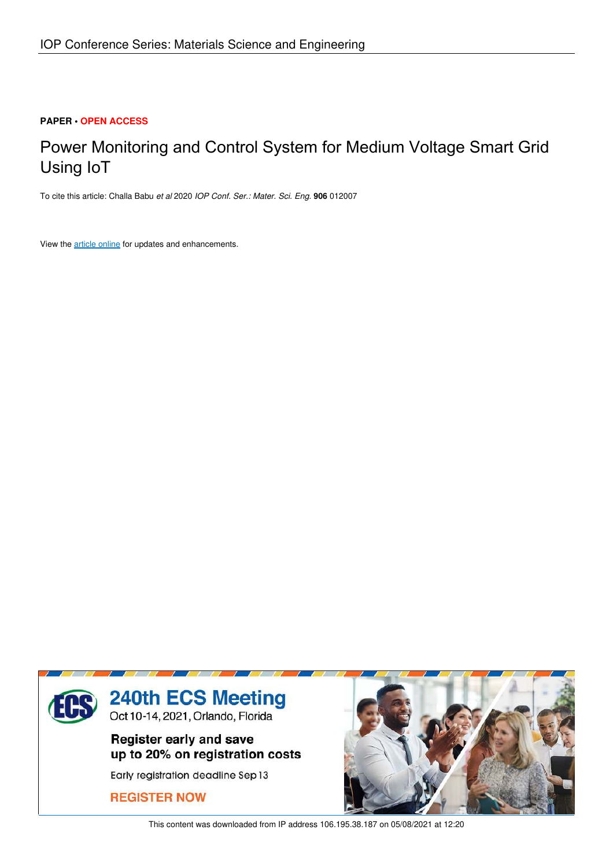## **PAPER • OPEN ACCESS**

# Power Monitoring and Control System for Medium Voltage Smart Grid Using IoT

To cite this article: Challa Babu *et al* 2020 *IOP Conf. Ser.: Mater. Sci. Eng.* **906** 012007

View the article online for updates and enhancements.



This content was downloaded from IP address 106.195.38.187 on 05/08/2021 at 12:20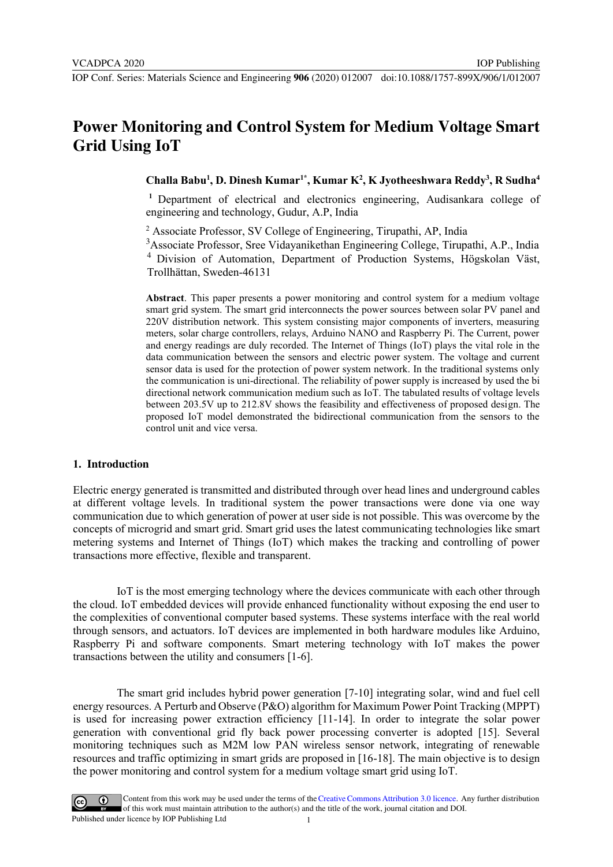## **Power Monitoring and Control System for Medium Voltage Smart Grid Using IoT**

## **Challa Babu<sup>1</sup> , D. Dinesh Kumar1\*, Kumar K<sup>2</sup> , K Jyotheeshwara Reddy<sup>3</sup> , R Sudha<sup>4</sup>**

**<sup>1</sup>**Department of electrical and electronics engineering, Audisankara college of engineering and technology, Gudur, A.P, India

2 Associate Professor, SV College of Engineering, Tirupathi, AP, India

<sup>3</sup>Associate Professor, Sree Vidayanikethan Engineering College, Tirupathi, A.P., India <sup>4</sup> Division of Automation, Department of Production Systems, Högskolan Väst, Trollhättan, Sweden-46131

**Abstract**. This paper presents a power monitoring and control system for a medium voltage smart grid system. The smart grid interconnects the power sources between solar PV panel and 220V distribution network. This system consisting major components of inverters, measuring meters, solar charge controllers, relays, Arduino NANO and Raspberry Pi. The Current, power and energy readings are duly recorded. The Internet of Things (IoT) plays the vital role in the data communication between the sensors and electric power system. The voltage and current sensor data is used for the protection of power system network. In the traditional systems only the communication is uni-directional. The reliability of power supply is increased by used the bi directional network communication medium such as IoT. The tabulated results of voltage levels between 203.5V up to 212.8V shows the feasibility and effectiveness of proposed design. The proposed IoT model demonstrated the bidirectional communication from the sensors to the control unit and vice versa.

#### **1. Introduction**

Electric energy generated is transmitted and distributed through over head lines and underground cables at different voltage levels. In traditional system the power transactions were done via one way communication due to which generation of power at user side is not possible. This was overcome by the concepts of microgrid and smart grid. Smart grid uses the latest communicating technologies like smart metering systems and Internet of Things (IoT) which makes the tracking and controlling of power transactions more effective, flexible and transparent.

IoT is the most emerging technology where the devices communicate with each other through the cloud. IoT embedded devices will provide enhanced functionality without exposing the end user to the complexities of conventional computer based systems. These systems interface with the real world through sensors, and actuators. IoT devices are implemented in both hardware modules like Arduino, Raspberry Pi and software components. Smart metering technology with IoT makes the power transactions between the utility and consumers [1-6].

The smart grid includes hybrid power generation [7-10] integrating solar, wind and fuel cell energy resources. A Perturb and Observe (P&O) algorithm for Maximum Power Point Tracking (MPPT) is used for increasing power extraction efficiency [11-14]. In order to integrate the solar power generation with conventional grid fly back power processing converter is adopted [15]. Several monitoring techniques such as M2M low PAN wireless sensor network, integrating of renewable resources and traffic optimizing in smart grids are proposed in [16-18]. The main objective is to design the power monitoring and control system for a medium voltage smart grid using IoT.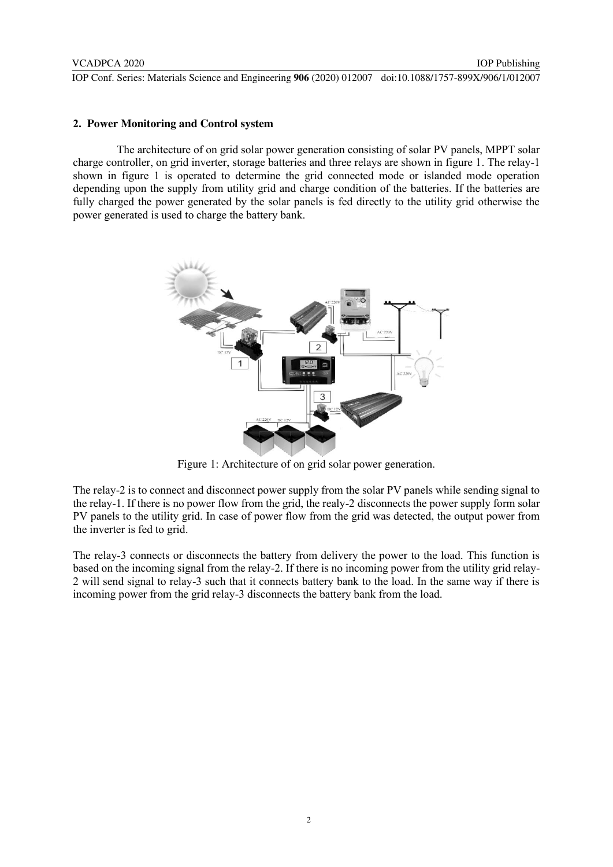IOP Publishing

#### **2. Power Monitoring and Control system**

The architecture of on grid solar power generation consisting of solar PV panels, MPPT solar charge controller, on grid inverter, storage batteries and three relays are shown in figure 1. The relay-1 shown in figure 1 is operated to determine the grid connected mode or islanded mode operation depending upon the supply from utility grid and charge condition of the batteries. If the batteries are fully charged the power generated by the solar panels is fed directly to the utility grid otherwise the power generated is used to charge the battery bank.



Figure 1: Architecture of on grid solar power generation.

The relay-2 is to connect and disconnect power supply from the solar PV panels while sending signal to the relay-1. If there is no power flow from the grid, the realy-2 disconnects the power supply form solar PV panels to the utility grid. In case of power flow from the grid was detected, the output power from the inverter is fed to grid.

The relay-3 connects or disconnects the battery from delivery the power to the load. This function is based on the incoming signal from the relay-2. If there is no incoming power from the utility grid relay-2 will send signal to relay-3 such that it connects battery bank to the load. In the same way if there is incoming power from the grid relay-3 disconnects the battery bank from the load.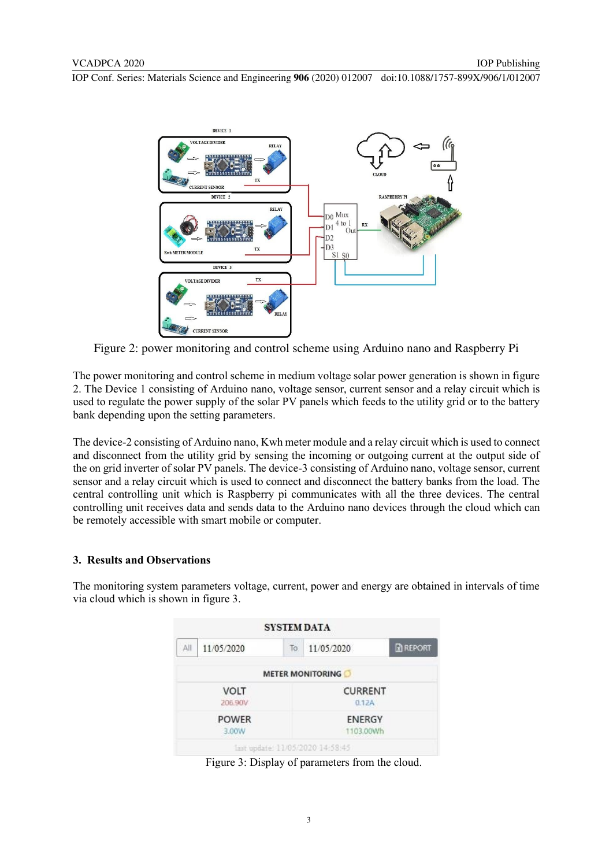

Figure 2: power monitoring and control scheme using Arduino nano and Raspberry Pi

The power monitoring and control scheme in medium voltage solar power generation is shown in figure 2. The Device 1 consisting of Arduino nano, voltage sensor, current sensor and a relay circuit which is used to regulate the power supply of the solar PV panels which feeds to the utility grid or to the battery bank depending upon the setting parameters.

The device-2 consisting of Arduino nano, Kwh meter module and a relay circuit which is used to connect and disconnect from the utility grid by sensing the incoming or outgoing current at the output side of the on grid inverter of solar PV panels. The device-3 consisting of Arduino nano, voltage sensor, current sensor and a relay circuit which is used to connect and disconnect the battery banks from the load. The central controlling unit which is Raspberry pi communicates with all the three devices. The central controlling unit receives data and sends data to the Arduino nano devices through the cloud which can be remotely accessible with smart mobile or computer.

## **3. Results and Observations**

The monitoring system parameters voltage, current, power and energy are obtained in intervals of time via cloud which is shown in figure 3.

|                        |            | <b>SYSTEM DATA</b> |                                  |               |  |  |
|------------------------|------------|--------------------|----------------------------------|---------------|--|--|
| ΑH                     | 11/05/2020 | To:                | 11/05/2020                       | <b>REPORT</b> |  |  |
|                        |            |                    | <b>METER MONITORING</b>          |               |  |  |
| <b>VOLT</b><br>206,90V |            |                    | <b>CURRENT</b><br>0.12A          |               |  |  |
| <b>POWER</b><br>3.00W  |            |                    | ENERGY<br>1103.00Wh              |               |  |  |
|                        |            |                    | last undate: 11/05/2020 14:58:45 |               |  |  |

Figure 3: Display of parameters from the cloud.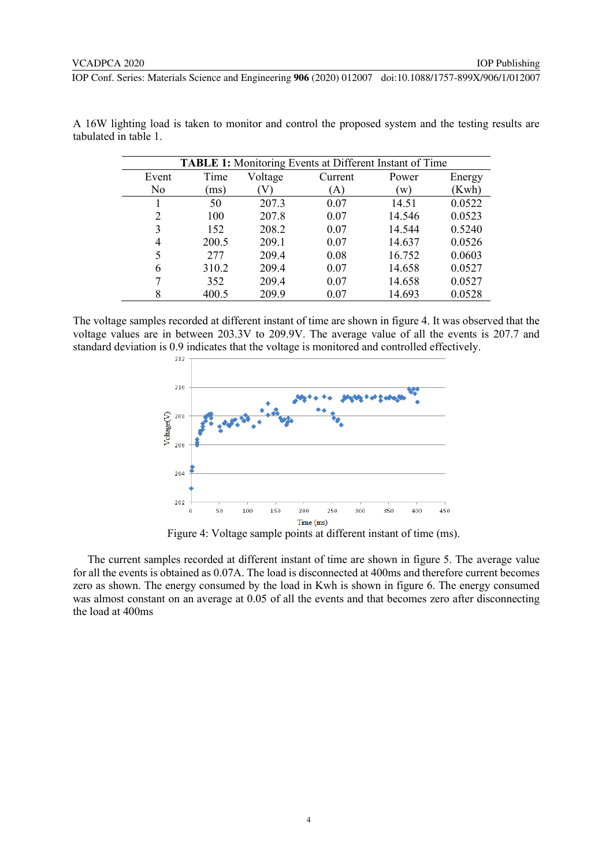| <b>TABLE 1:</b> Monitoring Events at Different Instant of Time |       |         |         |        |        |  |  |  |
|----------------------------------------------------------------|-------|---------|---------|--------|--------|--|--|--|
| Event                                                          | Time  | Voltage | Current | Power  | Energy |  |  |  |
| No                                                             | ms)   |         | A)      | (w)    | (Kwh)  |  |  |  |
|                                                                | 50    | 207.3   | 0.07    | 14.51  | 0.0522 |  |  |  |
| 2                                                              | 100   | 207.8   | 0.07    | 14.546 | 0.0523 |  |  |  |
| 3                                                              | 152   | 208.2   | 0.07    | 14.544 | 0.5240 |  |  |  |
| 4                                                              | 200.5 | 209.1   | 0.07    | 14.637 | 0.0526 |  |  |  |
| 5                                                              | 277   | 209.4   | 0.08    | 16.752 | 0.0603 |  |  |  |
| 6                                                              | 310.2 | 209.4   | 0.07    | 14.658 | 0.0527 |  |  |  |
|                                                                | 352   | 209.4   | 0.07    | 14.658 | 0.0527 |  |  |  |
| 8                                                              | 400.5 | 209.9   | 0.07    | 14.693 | 0.0528 |  |  |  |

A 16W lighting load is taken to monitor and control the proposed system and the testing results are tabulated in table 1.

The voltage samples recorded at different instant of time are shown in figure 4. It was observed that the voltage values are in between 203.3V to 209.9V. The average value of all the events is 207.7 and standard deviation is 0.9 indicates that the voltage is monitored and controlled effectively.



Figure 4: Voltage sample points at different instant of time (ms).

The current samples recorded at different instant of time are shown in figure 5. The average value for all the events is obtained as 0.07A. The load is disconnected at 400ms and therefore current becomes zero as shown. The energy consumed by the load in Kwh is shown in figure 6. The energy consumed was almost constant on an average at 0.05 of all the events and that becomes zero after disconnecting the load at 400ms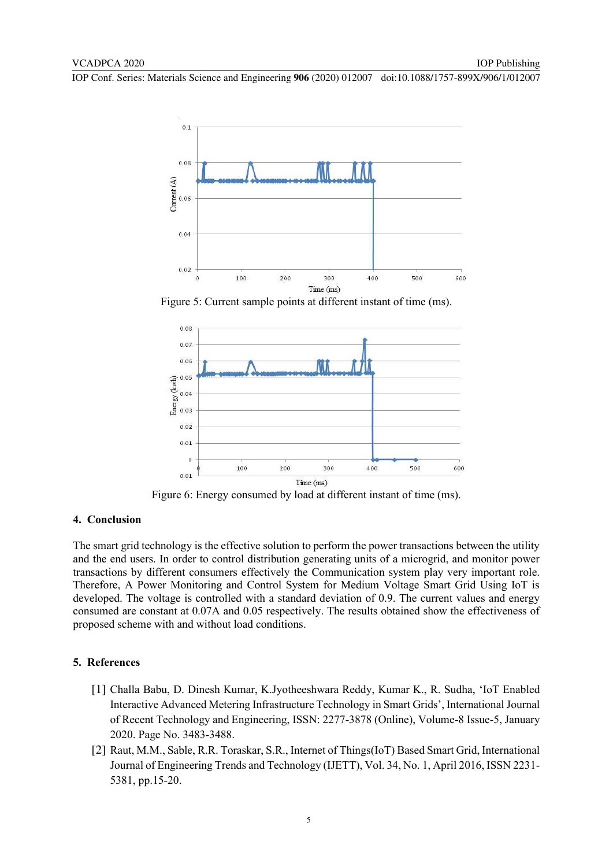

Figure 5: Current sample points at different instant of time (ms).



Figure 6: Energy consumed by load at different instant of time (ms).

#### **4. Conclusion**

The smart grid technology is the effective solution to perform the power transactions between the utility and the end users. In order to control distribution generating units of a microgrid, and monitor power transactions by different consumers effectively the Communication system play very important role. Therefore, A Power Monitoring and Control System for Medium Voltage Smart Grid Using IoT is developed. The voltage is controlled with a standard deviation of 0.9. The current values and energy consumed are constant at 0.07A and 0.05 respectively. The results obtained show the effectiveness of proposed scheme with and without load conditions.

### **5. References**

- [1] Challa Babu, D. Dinesh Kumar, K.Jyotheeshwara Reddy, Kumar K., R. Sudha, 'IoT Enabled Interactive Advanced Metering Infrastructure Technology in Smart Grids', International Journal of Recent Technology and Engineering, ISSN: 2277-3878 (Online), Volume-8 Issue-5, January 2020. Page No. 3483-3488.
- [2] Raut, M.M., Sable, R.R. Toraskar, S.R., Internet of Things(IoT) Based Smart Grid, International Journal of Engineering Trends and Technology (IJETT), Vol. 34, No. 1, April 2016, ISSN 2231- 5381, pp.15-20.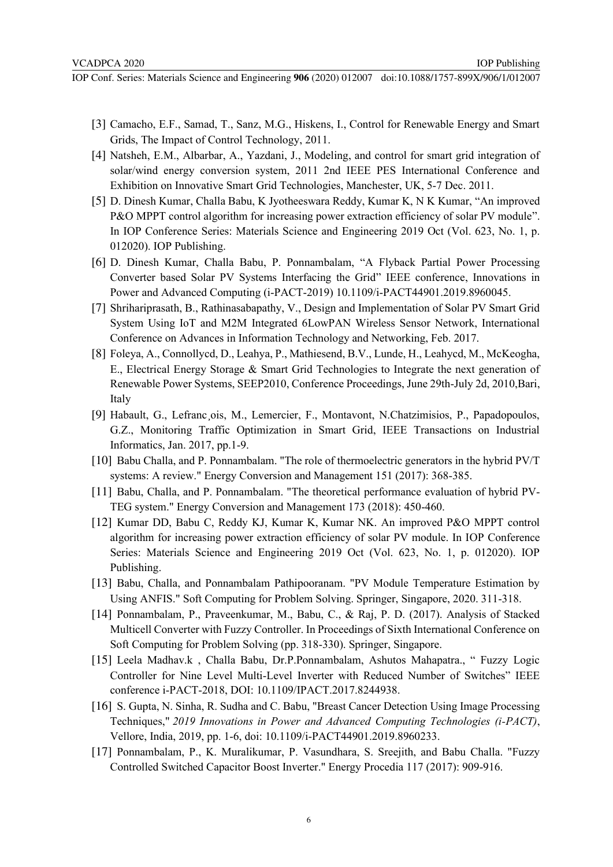- [3] Camacho, E.F., Samad, T., Sanz, M.G., Hiskens, I., Control for Renewable Energy and Smart Grids, The Impact of Control Technology, 2011.
- [4] Natsheh, E.M., Albarbar, A., Yazdani, J., Modeling, and control for smart grid integration of solar/wind energy conversion system, 2011 2nd IEEE PES International Conference and Exhibition on Innovative Smart Grid Technologies, Manchester, UK, 5-7 Dec. 2011.
- [5] D. Dinesh Kumar, Challa Babu, K Jyotheeswara Reddy, Kumar K, N K Kumar, "An improved P&O MPPT control algorithm for increasing power extraction efficiency of solar PV module". In IOP Conference Series: Materials Science and Engineering 2019 Oct (Vol. 623, No. 1, p. 012020). IOP Publishing.
- [6] D. Dinesh Kumar, Challa Babu, P. Ponnambalam, "A Flyback Partial Power Processing Converter based Solar PV Systems Interfacing the Grid" IEEE conference, Innovations in Power and Advanced Computing (i-PACT-2019) 10.1109/i-PACT44901.2019.8960045.
- [7] Shrihariprasath, B., Rathinasabapathy, V., Design and Implementation of Solar PV Smart Grid System Using IoT and M2M Integrated 6LowPAN Wireless Sensor Network, International Conference on Advances in Information Technology and Networking, Feb. 2017.
- [8] Foleya, A., Connollycd, D., Leahya, P., Mathiesend, B.V., Lunde, H., Leahycd, M., McKeogha, E., Electrical Energy Storage & Smart Grid Technologies to Integrate the next generation of Renewable Power Systems, SEEP2010, Conference Proceedings, June 29th-July 2d, 2010,Bari, Italy
- [9] Habault, G., Lefranc ois, M., Lemercier, F., Montavont, N.Chatzimisios, P., Papadopoulos, G.Z., Monitoring Traffic Optimization in Smart Grid, IEEE Transactions on Industrial Informatics, Jan. 2017, pp.1-9.
- [10] Babu Challa, and P. Ponnambalam. "The role of thermoelectric generators in the hybrid PV/T systems: A review." Energy Conversion and Management 151 (2017): 368-385.
- [11] Babu, Challa, and P. Ponnambalam. "The theoretical performance evaluation of hybrid PV-TEG system." Energy Conversion and Management 173 (2018): 450-460.
- [12] Kumar DD, Babu C, Reddy KJ, Kumar K, Kumar NK. An improved P&O MPPT control algorithm for increasing power extraction efficiency of solar PV module. In IOP Conference Series: Materials Science and Engineering 2019 Oct (Vol. 623, No. 1, p. 012020). IOP Publishing.
- [13] Babu, Challa, and Ponnambalam Pathipooranam. "PV Module Temperature Estimation by Using ANFIS." Soft Computing for Problem Solving. Springer, Singapore, 2020. 311-318.
- [14] Ponnambalam, P., Praveenkumar, M., Babu, C., & Raj, P. D. (2017). Analysis of Stacked Multicell Converter with Fuzzy Controller. In Proceedings of Sixth International Conference on Soft Computing for Problem Solving (pp. 318-330). Springer, Singapore.
- [15] Leela Madhav.k , Challa Babu, Dr.P.Ponnambalam, Ashutos Mahapatra., " Fuzzy Logic Controller for Nine Level Multi-Level Inverter with Reduced Number of Switches" IEEE conference i-PACT-2018, DOI: [10.1109/IPACT.2017.8244938.](http://doi.org.egateway.vit.ac.in/10.1109/IPACT.2017.8244938)
- [16] S. Gupta, N. Sinha, R. Sudha and C. Babu, "Breast Cancer Detection Using Image Processing Techniques," *2019 Innovations in Power and Advanced Computing Technologies (i-PACT)*, Vellore, India, 2019, pp. 1-6, doi: 10.1109/i-PACT44901.2019.8960233.
- [17] Ponnambalam, P., K. Muralikumar, P. Vasundhara, S. Sreejith, and Babu Challa. "Fuzzy Controlled Switched Capacitor Boost Inverter." Energy Procedia 117 (2017): 909-916.